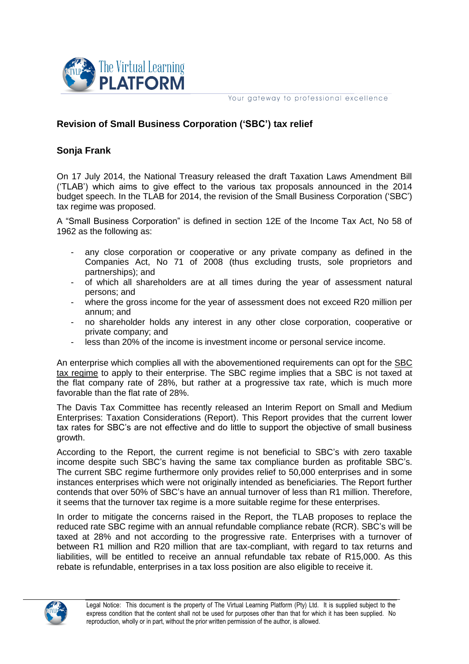

Your gateway to professional excellence

# **Revision of Small Business Corporation ('SBC') tax relief**

## **Sonja Frank**

On 17 July 2014, the National Treasury released the draft Taxation Laws Amendment Bill ('TLAB') which aims to give effect to the various tax proposals announced in the 2014 budget speech. In the TLAB for 2014, the revision of the Small Business Corporation ('SBC') tax regime was proposed.

A "Small Business Corporation" is defined in section 12E of the Income Tax Act, No 58 of 1962 as the following as:

- any close corporation or cooperative or any private company as defined in the Companies Act, No 71 of 2008 (thus excluding trusts, sole proprietors and partnerships); and
- of which all shareholders are at all times during the year of assessment natural persons; and
- where the gross income for the year of assessment does not exceed R20 million per annum; and
- no shareholder holds any interest in any other close corporation, cooperative or private company; and
- less than 20% of the income is investment income or personal service income.

An enterprise which complies all with the abovementioned requirements can opt for the SBC tax regime to apply to their enterprise. The SBC regime implies that a SBC is not taxed at the flat company rate of 28%, but rather at a progressive tax rate, which is much more favorable than the flat rate of 28%.

The Davis Tax Committee has recently released an Interim Report on Small and Medium Enterprises: Taxation Considerations (Report). This Report provides that the current lower tax rates for SBC's are not effective and do little to support the objective of small business growth.

According to the Report, the current regime is not beneficial to SBC's with zero taxable income despite such SBC's having the same tax compliance burden as profitable SBC's. The current SBC regime furthermore only provides relief to 50,000 enterprises and in some instances enterprises which were not originally intended as beneficiaries. The Report further contends that over 50% of SBC's have an annual turnover of less than R1 million. Therefore, it seems that the turnover tax regime is a more suitable regime for these enterprises.

In order to mitigate the concerns raised in the Report, the TLAB proposes to replace the reduced rate SBC regime with an annual refundable compliance rebate (RCR). SBC's will be taxed at 28% and not according to the progressive rate. Enterprises with a turnover of between R1 million and R20 million that are tax-compliant, with regard to tax returns and liabilities, will be entitled to receive an annual refundable tax rebate of R15,000. As this rebate is refundable, enterprises in a tax loss position are also eligible to receive it.